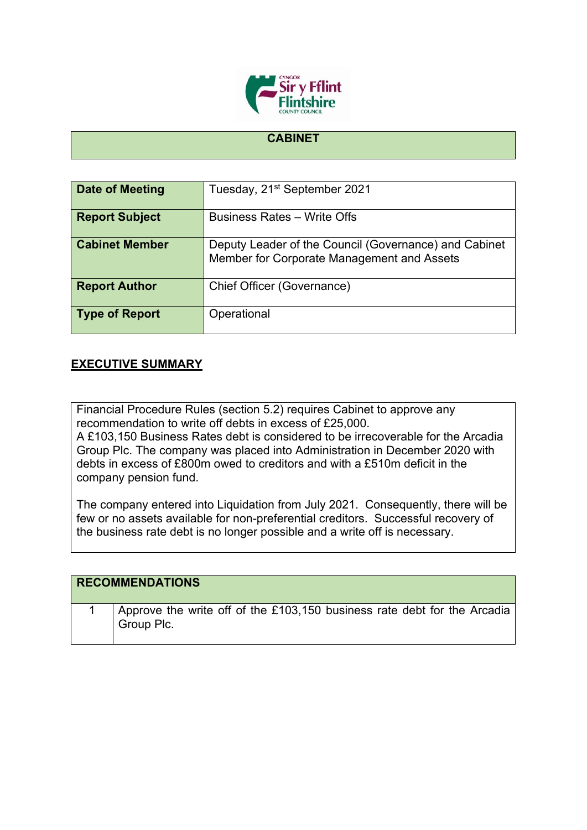

## **CABINET**

| Date of Meeting       | Tuesday, 21 <sup>st</sup> September 2021                                                            |
|-----------------------|-----------------------------------------------------------------------------------------------------|
| <b>Report Subject</b> | <b>Business Rates - Write Offs</b>                                                                  |
| <b>Cabinet Member</b> | Deputy Leader of the Council (Governance) and Cabinet<br>Member for Corporate Management and Assets |
| <b>Report Author</b>  | Chief Officer (Governance)                                                                          |
| <b>Type of Report</b> | Operational                                                                                         |

## **EXECUTIVE SUMMARY**

Financial Procedure Rules (section 5.2) requires Cabinet to approve any recommendation to write off debts in excess of £25,000.

A £103,150 Business Rates debt is considered to be irrecoverable for the Arcadia Group Plc. The company was placed into Administration in December 2020 with debts in excess of £800m owed to creditors and with a £510m deficit in the company pension fund.

The company entered into Liquidation from July 2021. Consequently, there will be few or no assets available for non-preferential creditors. Successful recovery of the business rate debt is no longer possible and a write off is necessary.

| <b>RECOMMENDATIONS</b>                                                                 |
|----------------------------------------------------------------------------------------|
| Approve the write off of the £103,150 business rate debt for the Arcadia<br>Group Plc. |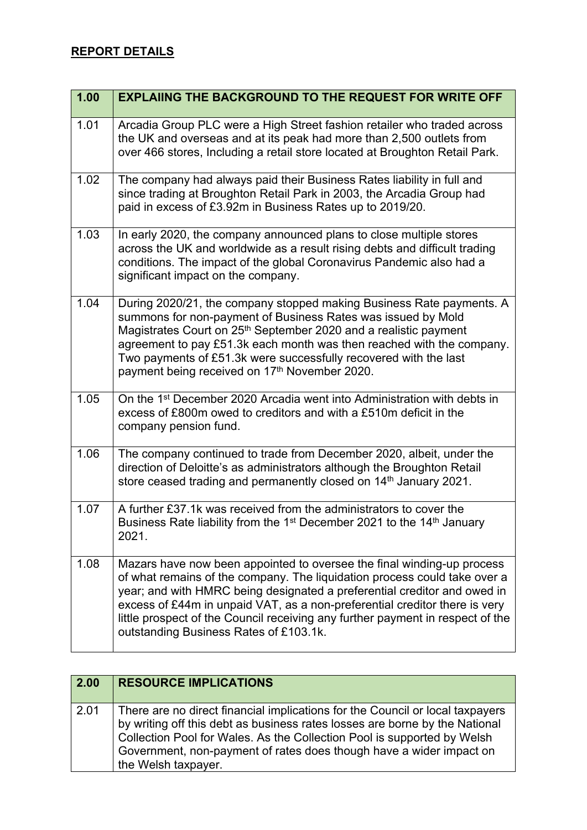## **REPORT DETAILS**

| 1.00 | <b>EXPLAIING THE BACKGROUND TO THE REQUEST FOR WRITE OFF</b>                                                                                                                                                                                                                                                                                                                                                                              |
|------|-------------------------------------------------------------------------------------------------------------------------------------------------------------------------------------------------------------------------------------------------------------------------------------------------------------------------------------------------------------------------------------------------------------------------------------------|
| 1.01 | Arcadia Group PLC were a High Street fashion retailer who traded across<br>the UK and overseas and at its peak had more than 2,500 outlets from<br>over 466 stores, Including a retail store located at Broughton Retail Park.                                                                                                                                                                                                            |
| 1.02 | The company had always paid their Business Rates liability in full and<br>since trading at Broughton Retail Park in 2003, the Arcadia Group had<br>paid in excess of £3.92m in Business Rates up to 2019/20.                                                                                                                                                                                                                              |
| 1.03 | In early 2020, the company announced plans to close multiple stores<br>across the UK and worldwide as a result rising debts and difficult trading<br>conditions. The impact of the global Coronavirus Pandemic also had a<br>significant impact on the company.                                                                                                                                                                           |
| 1.04 | During 2020/21, the company stopped making Business Rate payments. A<br>summons for non-payment of Business Rates was issued by Mold<br>Magistrates Court on 25 <sup>th</sup> September 2020 and a realistic payment<br>agreement to pay £51.3k each month was then reached with the company.<br>Two payments of £51.3k were successfully recovered with the last<br>payment being received on 17th November 2020.                        |
| 1.05 | On the 1 <sup>st</sup> December 2020 Arcadia went into Administration with debts in<br>excess of £800m owed to creditors and with a £510m deficit in the<br>company pension fund.                                                                                                                                                                                                                                                         |
| 1.06 | The company continued to trade from December 2020, albeit, under the<br>direction of Deloitte's as administrators although the Broughton Retail<br>store ceased trading and permanently closed on 14 <sup>th</sup> January 2021.                                                                                                                                                                                                          |
| 1.07 | A further £37.1k was received from the administrators to cover the<br>Business Rate liability from the 1 <sup>st</sup> December 2021 to the 14 <sup>th</sup> January<br>2021.                                                                                                                                                                                                                                                             |
| 1.08 | Mazars have now been appointed to oversee the final winding-up process<br>of what remains of the company. The liquidation process could take over a<br>year; and with HMRC being designated a preferential creditor and owed in<br>excess of £44m in unpaid VAT, as a non-preferential creditor there is very<br>little prospect of the Council receiving any further payment in respect of the<br>outstanding Business Rates of £103.1k. |

| $\vert$ 2.00 | <b>RESOURCE IMPLICATIONS</b>                                                                                                                                                                                                                                                                                                          |
|--------------|---------------------------------------------------------------------------------------------------------------------------------------------------------------------------------------------------------------------------------------------------------------------------------------------------------------------------------------|
| 2.01         | There are no direct financial implications for the Council or local taxpayers<br>by writing off this debt as business rates losses are borne by the National<br>Collection Pool for Wales. As the Collection Pool is supported by Welsh<br>Government, non-payment of rates does though have a wider impact on<br>the Welsh taxpayer. |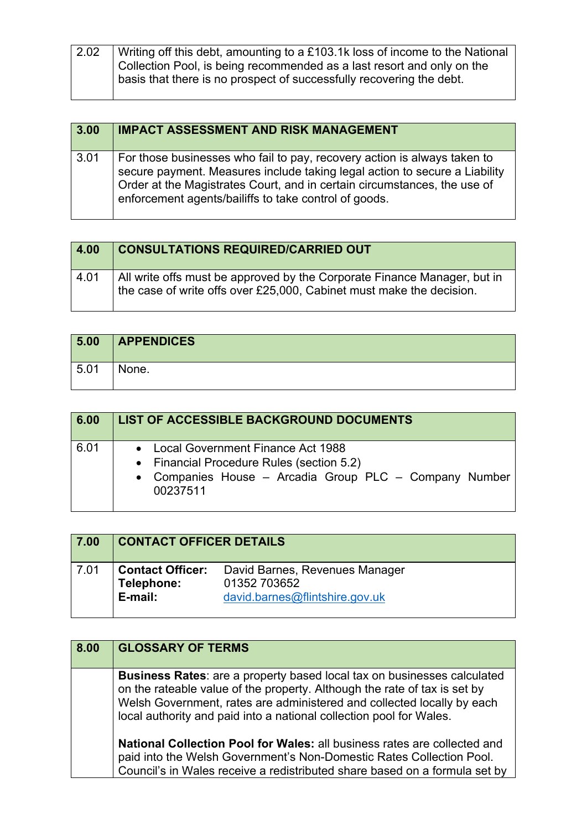| 2.02 | Writing off this debt, amounting to a £103.1k loss of income to the National |
|------|------------------------------------------------------------------------------|
|      |                                                                              |
|      | Collection Pool, is being recommended as a last resort and only on the       |
|      | basis that there is no prospect of successfully recovering the debt.         |
|      |                                                                              |

| 3.00 | <b>IMPACT ASSESSMENT AND RISK MANAGEMENT</b>                                                                                                                                                                                                                                                |
|------|---------------------------------------------------------------------------------------------------------------------------------------------------------------------------------------------------------------------------------------------------------------------------------------------|
| 3.01 | For those businesses who fail to pay, recovery action is always taken to<br>secure payment. Measures include taking legal action to secure a Liability<br>Order at the Magistrates Court, and in certain circumstances, the use of<br>enforcement agents/bailiffs to take control of goods. |

| 4.00 | <b>CONSULTATIONS REQUIRED/CARRIED OUT</b>                                                                                                        |
|------|--------------------------------------------------------------------------------------------------------------------------------------------------|
| 4.01 | All write offs must be approved by the Corporate Finance Manager, but in<br>the case of write offs over £25,000, Cabinet must make the decision. |

| 5.00 | <b>APPENDICES</b> |
|------|-------------------|
| 5.01 | None.             |

| 6.00 | <b>LIST OF ACCESSIBLE BACKGROUND DOCUMENTS</b>                                                                                                         |
|------|--------------------------------------------------------------------------------------------------------------------------------------------------------|
| 6.01 | • Local Government Finance Act 1988<br>• Financial Procedure Rules (section 5.2)<br>• Companies House - Arcadia Group PLC - Company Number<br>00237511 |

| 7.00 | <b>CONTACT OFFICER DETAILS</b>                   |                                                                                  |
|------|--------------------------------------------------|----------------------------------------------------------------------------------|
| 7.01 | <b>Contact Officer:</b><br>Telephone:<br>E-mail: | David Barnes, Revenues Manager<br>01352 703652<br>david.barnes@flintshire.gov.uk |

| 8.00 | <b>GLOSSARY OF TERMS</b>                                                                                                                                                                                                                                                                              |
|------|-------------------------------------------------------------------------------------------------------------------------------------------------------------------------------------------------------------------------------------------------------------------------------------------------------|
|      | Business Rates: are a property based local tax on businesses calculated<br>on the rateable value of the property. Although the rate of tax is set by<br>Welsh Government, rates are administered and collected locally by each<br>local authority and paid into a national collection pool for Wales. |
|      | <b>National Collection Pool for Wales: all business rates are collected and</b><br>paid into the Welsh Government's Non-Domestic Rates Collection Pool.<br>Council's in Wales receive a redistributed share based on a formula set by                                                                 |